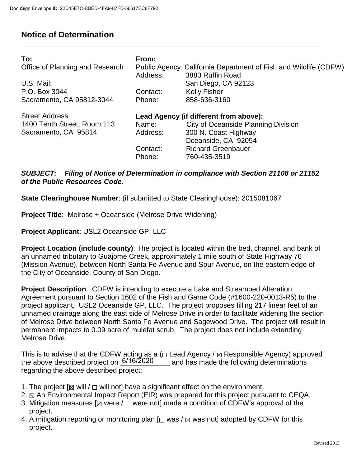## **Notice of Determination**

| To:<br>Office of Planning and Research<br>U.S. Mail:<br>P.O. Box 3044<br>Sacramento, CA 95812-3044 | From:<br>Address:<br>Contact:<br>Phone: | Public Agency: California Department of Fish and Wildlife (CDFW)<br>3883 Ruffin Road<br>San Diego, CA 92123<br><b>Kelly Fisher</b><br>858-636-3160                               |
|----------------------------------------------------------------------------------------------------|-----------------------------------------|----------------------------------------------------------------------------------------------------------------------------------------------------------------------------------|
| <b>Street Address:</b><br>1400 Tenth Street, Room 113<br>Sacramento, CA 95814                      | Name:<br>Address:<br>Contact:<br>Phone: | Lead Agency (if different from above):<br><b>City of Oceanside Planning Division</b><br>300 N. Coast Highway<br>Oceanside, CA 92054<br><b>Richard Greenbauer</b><br>760-435-3519 |

**\_\_\_\_\_\_\_\_\_\_\_\_\_\_\_\_\_\_\_\_\_\_\_\_\_\_\_\_\_\_\_\_\_\_\_\_\_\_\_\_\_\_\_\_\_\_\_\_\_\_\_\_\_\_\_\_\_\_\_\_\_\_\_\_\_\_\_\_\_\_\_\_\_\_\_\_** 

## *SUBJECT: Filing of Notice of Determination in compliance with Section 21108 or 21152 of the Public Resources Code.*

**State Clearinghouse Number**: (if submitted to State Clearinghouse): 2015081067

**Project Title:** Melrose + Oceanside (Melrose Drive Widening)

**Project Applicant**: USL2 Oceanside GP, LLC

**Project Location (include county)**: The project is located within the bed, channel, and bank of an unnamed tributary to Guajome Creek, approximately 1 mile south of State Highway 76 (Mission Avenue), between North Santa Fe Avenue and Spur Avenue, on the eastern edge of the City of Oceanside, County of San Diego.

**Project Description**: CDFW is intending to execute a Lake and Streambed Alteration Agreement pursuant to Section 1602 of the Fish and Game Code (#1600-220-0013-R5) to the project applicant, USL2 Oceanside GP, LLC. The project proposes filling 217 linear feet of an unnamed drainage along the east side of Melrose Drive in order to facilitate widening the section of Melrose Drive between North Santa Fe Avenue and Sagewood Drive. The project will result in permanent impacts to 0.09 acre of mulefat scrub. The project does not include extending Melrose Drive.

This is to advise that the CDFW acting as a ( $\Box$  Lead Agency /  $\boxtimes$  Responsible Agency) approved and has made the following determinations regarding the above described project: the above described project on  $6/16/2020$ 

- 1. The project  $[ $\boxtimes$  will /  $\square$  will not] have a significant effect on the environment.$
- 2.  $\boxtimes$  An Environmental Impact Report (EIR) was prepared for this project pursuant to CEQA.
- 3. Mitigation measures  $[$   $\boxtimes$  were  $/$   $\Box$  were not] made a condition of CDFW's approval of the project.
- 4. A mitigation reporting or monitoring plan  $\Box$  was /  $\boxtimes$  was not] adopted by CDFW for this project.